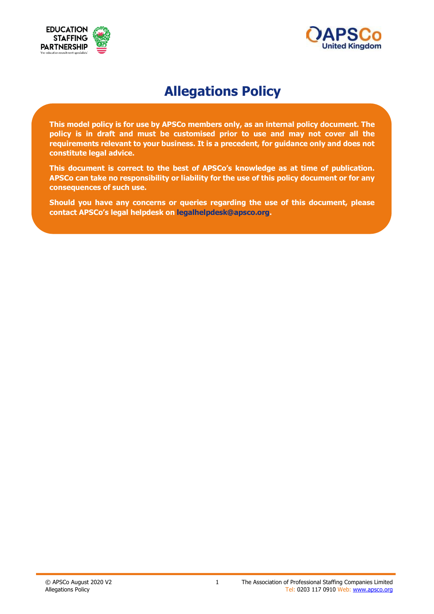



# **Allegations Policy**

**This model policy is for use by APSCo members only, as an internal policy document. The policy is in draft and must be customised prior to use and may not cover all the requirements relevant to your business. It is a precedent, for guidance only and does not constitute legal advice.**

**This document is correct to the best of APSCo's knowledge as at time of publication. APSCo can take no responsibility or liability for the use of this policy document or for any consequences of such use.**

**Should you have any concerns or queries regarding the use of this document, please contact APSCo's legal helpdesk on legalhelpdesk@apsco.org.**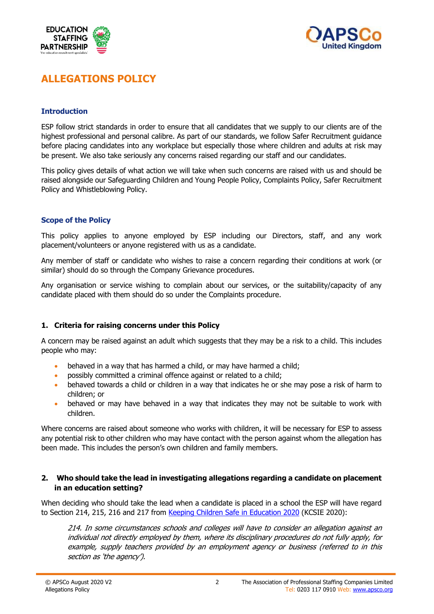



# **ALLEGATIONS POLICY**

#### **Introduction**

ESP follow strict standards in order to ensure that all candidates that we supply to our clients are of the highest professional and personal calibre. As part of our standards, we follow Safer Recruitment guidance before placing candidates into any workplace but especially those where children and adults at risk may be present. We also take seriously any concerns raised regarding our staff and our candidates.

This policy gives details of what action we will take when such concerns are raised with us and should be raised alongside our Safeguarding Children and Young People Policy, Complaints Policy, Safer Recruitment Policy and Whistleblowing Policy.

#### **Scope of the Policy**

This policy applies to anyone employed by ESP including our Directors, staff, and any work placement/volunteers or anyone registered with us as a candidate.

Any member of staff or candidate who wishes to raise a concern regarding their conditions at work (or similar) should do so through the Company Grievance procedures.

Any organisation or service wishing to complain about our services, or the suitability/capacity of any candidate placed with them should do so under the Complaints procedure.

# **1. Criteria for raising concerns under this Policy**

A concern may be raised against an adult which suggests that they may be a risk to a child. This includes people who may:

- behaved in a way that has harmed a child, or may have harmed a child;
- possibly committed a criminal offence against or related to a child;
- behaved towards a child or children in a way that indicates he or she may pose a risk of harm to children; or
- behaved or may have behaved in a way that indicates they may not be suitable to work with children.

Where concerns are raised about someone who works with children, it will be necessary for ESP to assess any potential risk to other children who may have contact with the person against whom the allegation has been made. This includes the person's own children and family members.

#### **2. Who should take the lead in investigating allegations regarding a candidate on placement in an education setting?**

When deciding who should take the lead when a candidate is placed in a school the ESP will have regard to Section 214, 215, 216 and 217 from Keeping Children Safe in Education 2020 (KCSIE 2020):

214. In some circumstances schools and colleges will have to consider an allegation against an individual not directly employed by them, where its disciplinary procedures do not fully apply, for example, supply teachers provided by an employment agency or business (referred to in this section as 'the agency').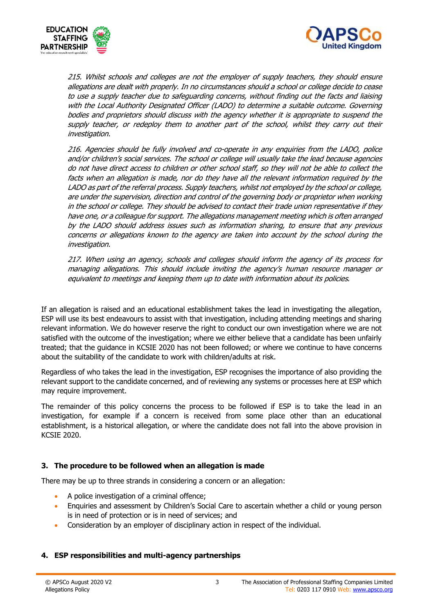



215. Whilst schools and colleges are not the employer of supply teachers, they should ensure allegations are dealt with properly. In no circumstances should a school or college decide to cease to use a supply teacher due to safeguarding concerns, without finding out the facts and liaising with the Local Authority Designated Officer (LADO) to determine a suitable outcome. Governing bodies and proprietors should discuss with the agency whether it is appropriate to suspend the supply teacher, or redeploy them to another part of the school, whilst they carry out their investigation.

216. Agencies should be fully involved and co-operate in any enquiries from the LADO, police and/or children's social services. The school or college will usually take the lead because agencies do not have direct access to children or other school staff, so they will not be able to collect the facts when an allegation is made, nor do they have all the relevant information required by the LADO as part of the referral process. Supply teachers, whilst not employed by the school or college, are under the supervision, direction and control of the governing body or proprietor when working in the school or college. They should be advised to contact their trade union representative if they have one, or a colleague for support. The allegations management meeting which is often arranged by the LADO should address issues such as information sharing, to ensure that any previous concerns or allegations known to the agency are taken into account by the school during the investigation.

217. When using an agency, schools and colleges should inform the agency of its process for managing allegations. This should include inviting the agency's human resource manager or equivalent to meetings and keeping them up to date with information about its policies.

If an allegation is raised and an educational establishment takes the lead in investigating the allegation, ESP will use its best endeavours to assist with that investigation, including attending meetings and sharing relevant information. We do however reserve the right to conduct our own investigation where we are not satisfied with the outcome of the investigation; where we either believe that a candidate has been unfairly treated; that the guidance in KCSIE 2020 has not been followed; or where we continue to have concerns about the suitability of the candidate to work with children/adults at risk.

Regardless of who takes the lead in the investigation, ESP recognises the importance of also providing the relevant support to the candidate concerned, and of reviewing any systems or processes here at ESP which may require improvement.

The remainder of this policy concerns the process to be followed if ESP is to take the lead in an investigation, for example if a concern is received from some place other than an educational establishment, is a historical allegation, or where the candidate does not fall into the above provision in KCSIE 2020.

# **3. The procedure to be followed when an allegation is made**

There may be up to three strands in considering a concern or an allegation:

- A police investigation of a criminal offence;
- Enquiries and assessment by Children's Social Care to ascertain whether a child or young person is in need of protection or is in need of services; and
- Consideration by an employer of disciplinary action in respect of the individual.

#### **4. ESP responsibilities and multi-agency partnerships**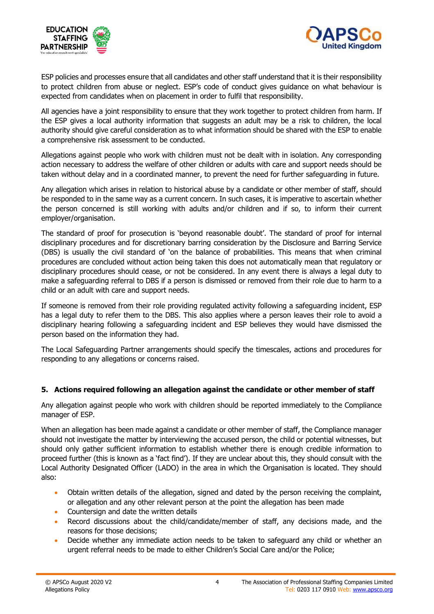



ESP policies and processes ensure that all candidates and other staff understand that it is their responsibility to protect children from abuse or neglect. ESP's code of conduct gives guidance on what behaviour is expected from candidates when on placement in order to fulfil that responsibility.

All agencies have a joint responsibility to ensure that they work together to protect children from harm. If the ESP gives a local authority information that suggests an adult may be a risk to children, the local authority should give careful consideration as to what information should be shared with the ESP to enable a comprehensive risk assessment to be conducted.

Allegations against people who work with children must not be dealt with in isolation. Any corresponding action necessary to address the welfare of other children or adults with care and support needs should be taken without delay and in a coordinated manner, to prevent the need for further safeguarding in future.

Any allegation which arises in relation to historical abuse by a candidate or other member of staff, should be responded to in the same way as a current concern. In such cases, it is imperative to ascertain whether the person concerned is still working with adults and/or children and if so, to inform their current employer/organisation.

The standard of proof for prosecution is 'beyond reasonable doubt'. The standard of proof for internal disciplinary procedures and for discretionary barring consideration by the Disclosure and Barring Service (DBS) is usually the civil standard of 'on the balance of probabilities. This means that when criminal procedures are concluded without action being taken this does not automatically mean that regulatory or disciplinary procedures should cease, or not be considered. In any event there is always a legal duty to make a safeguarding referral to DBS if a person is dismissed or removed from their role due to harm to a child or an adult with care and support needs.

If someone is removed from their role providing regulated activity following a safeguarding incident, ESP has a legal duty to refer them to the DBS. This also applies where a person leaves their role to avoid a disciplinary hearing following a safeguarding incident and ESP believes they would have dismissed the person based on the information they had.

The Local Safeguarding Partner arrangements should specify the timescales, actions and procedures for responding to any allegations or concerns raised.

# **5. Actions required following an allegation against the candidate or other member of staff**

Any allegation against people who work with children should be reported immediately to the Compliance manager of ESP.

When an allegation has been made against a candidate or other member of staff, the Compliance manager should not investigate the matter by interviewing the accused person, the child or potential witnesses, but should only gather sufficient information to establish whether there is enough credible information to proceed further (this is known as a 'fact find'). If they are unclear about this, they should consult with the Local Authority Designated Officer (LADO) in the area in which the Organisation is located. They should also:

- Obtain written details of the allegation, signed and dated by the person receiving the complaint, or allegation and any other relevant person at the point the allegation has been made
- Countersign and date the written details
- Record discussions about the child/candidate/member of staff, any decisions made, and the reasons for those decisions;
- Decide whether any immediate action needs to be taken to safeguard any child or whether an urgent referral needs to be made to either Children's Social Care and/or the Police;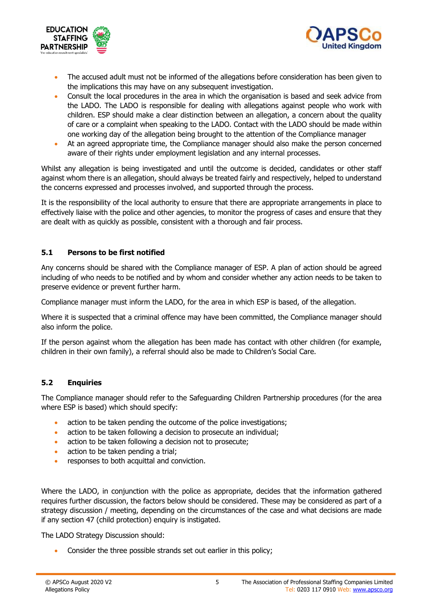



- The accused adult must not be informed of the allegations before consideration has been given to the implications this may have on any subsequent investigation.
- Consult the local procedures in the area in which the organisation is based and seek advice from the LADO. The LADO is responsible for dealing with allegations against people who work with children. ESP should make a clear distinction between an allegation, a concern about the quality of care or a complaint when speaking to the LADO. Contact with the LADO should be made within one working day of the allegation being brought to the attention of the Compliance manager
- At an agreed appropriate time, the Compliance manager should also make the person concerned aware of their rights under employment legislation and any internal processes.

Whilst any allegation is being investigated and until the outcome is decided, candidates or other staff against whom there is an allegation, should always be treated fairly and respectively, helped to understand the concerns expressed and processes involved, and supported through the process.

It is the responsibility of the local authority to ensure that there are appropriate arrangements in place to effectively liaise with the police and other agencies, to monitor the progress of cases and ensure that they are dealt with as quickly as possible, consistent with a thorough and fair process.

# **5.1 Persons to be first notified**

Any concerns should be shared with the Compliance manager of ESP. A plan of action should be agreed including of who needs to be notified and by whom and consider whether any action needs to be taken to preserve evidence or prevent further harm.

Compliance manager must inform the LADO, for the area in which ESP is based, of the allegation.

Where it is suspected that a criminal offence may have been committed, the Compliance manager should also inform the police.

If the person against whom the allegation has been made has contact with other children (for example, children in their own family), a referral should also be made to Children's Social Care.

# **5.2 Enquiries**

The Compliance manager should refer to the Safeguarding Children Partnership procedures (for the area where ESP is based) which should specify:

- action to be taken pending the outcome of the police investigations;
- action to be taken following a decision to prosecute an individual;
- action to be taken following a decision not to prosecute;
- action to be taken pending a trial:
- responses to both acquittal and conviction.

Where the LADO, in conjunction with the police as appropriate, decides that the information gathered requires further discussion, the factors below should be considered. These may be considered as part of a strategy discussion / meeting, depending on the circumstances of the case and what decisions are made if any section 47 (child protection) enquiry is instigated.

The LADO Strategy Discussion should:

Consider the three possible strands set out earlier in this policy;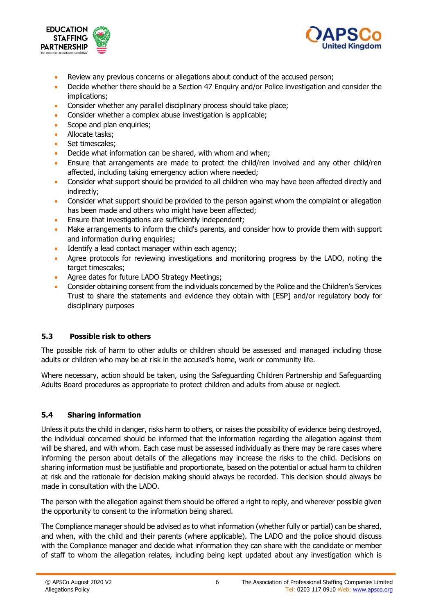



- Review any previous concerns or allegations about conduct of the accused person;
- Decide whether there should be a Section 47 Enquiry and/or Police investigation and consider the implications;
- Consider whether any parallel disciplinary process should take place;
- Consider whether a complex abuse investigation is applicable;
- Scope and plan enquiries:
- Allocate tasks:
- Set timescales:
- Decide what information can be shared, with whom and when;
- Ensure that arrangements are made to protect the child/ren involved and any other child/ren affected, including taking emergency action where needed;
- Consider what support should be provided to all children who may have been affected directly and indirectly;
- Consider what support should be provided to the person against whom the complaint or allegation has been made and others who might have been affected;
- Ensure that investigations are sufficiently independent;
- Make arrangements to inform the child's parents, and consider how to provide them with support and information during enquiries;
- Identify a lead contact manager within each agency;
- Agree protocols for reviewing investigations and monitoring progress by the LADO, noting the target timescales;
- Agree dates for future LADO Strategy Meetings;
- Consider obtaining consent from the individuals concerned by the Police and the Children's Services Trust to share the statements and evidence they obtain with [ESP] and/or regulatory body for disciplinary purposes

# **5.3 Possible risk to others**

The possible risk of harm to other adults or children should be assessed and managed including those adults or children who may be at risk in the accused's home, work or community life.

Where necessary, action should be taken, using the Safeguarding Children Partnership and Safeguarding Adults Board procedures as appropriate to protect children and adults from abuse or neglect.

# **5.4 Sharing information**

Unless it puts the child in danger, risks harm to others, or raises the possibility of evidence being destroyed, the individual concerned should be informed that the information regarding the allegation against them will be shared, and with whom. Each case must be assessed individually as there may be rare cases where informing the person about details of the allegations may increase the risks to the child. Decisions on sharing information must be justifiable and proportionate, based on the potential or actual harm to children at risk and the rationale for decision making should always be recorded. This decision should always be made in consultation with the LADO.

The person with the allegation against them should be offered a right to reply, and wherever possible given the opportunity to consent to the information being shared.

The Compliance manager should be advised as to what information (whether fully or partial) can be shared, and when, with the child and their parents (where applicable). The LADO and the police should discuss with the Compliance manager and decide what information they can share with the candidate or member of staff to whom the allegation relates, including being kept updated about any investigation which is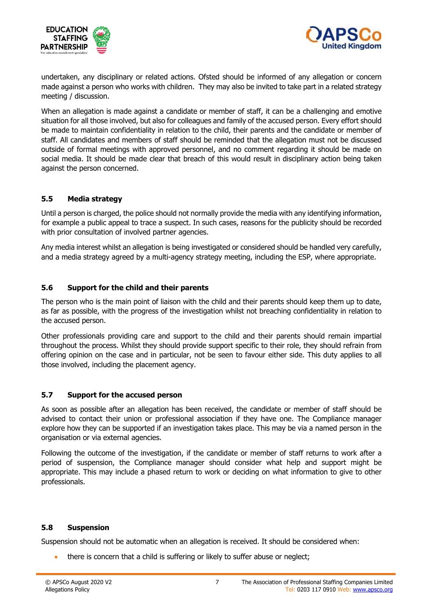



undertaken, any disciplinary or related actions. Ofsted should be informed of any allegation or concern made against a person who works with children. They may also be invited to take part in a related strategy meeting / discussion.

When an allegation is made against a candidate or member of staff, it can be a challenging and emotive situation for all those involved, but also for colleagues and family of the accused person. Every effort should be made to maintain confidentiality in relation to the child, their parents and the candidate or member of staff. All candidates and members of staff should be reminded that the allegation must not be discussed outside of formal meetings with approved personnel, and no comment regarding it should be made on social media. It should be made clear that breach of this would result in disciplinary action being taken against the person concerned.

# **5.5 Media strategy**

Until a person is charged, the police should not normally provide the media with any identifying information, for example a public appeal to trace a suspect. In such cases, reasons for the publicity should be recorded with prior consultation of involved partner agencies.

Any media interest whilst an allegation is being investigated or considered should be handled very carefully, and a media strategy agreed by a multi-agency strategy meeting, including the ESP, where appropriate.

#### **5.6 Support for the child and their parents**

The person who is the main point of liaison with the child and their parents should keep them up to date, as far as possible, with the progress of the investigation whilst not breaching confidentiality in relation to the accused person.

Other professionals providing care and support to the child and their parents should remain impartial throughout the process. Whilst they should provide support specific to their role, they should refrain from offering opinion on the case and in particular, not be seen to favour either side. This duty applies to all those involved, including the placement agency.

#### **5.7 Support for the accused person**

As soon as possible after an allegation has been received, the candidate or member of staff should be advised to contact their union or professional association if they have one. The Compliance manager explore how they can be supported if an investigation takes place. This may be via a named person in the organisation or via external agencies.

Following the outcome of the investigation, if the candidate or member of staff returns to work after a period of suspension, the Compliance manager should consider what help and support might be appropriate. This may include a phased return to work or deciding on what information to give to other professionals.

#### **5.8 Suspension**

Suspension should not be automatic when an allegation is received. It should be considered when:

• there is concern that a child is suffering or likely to suffer abuse or neglect;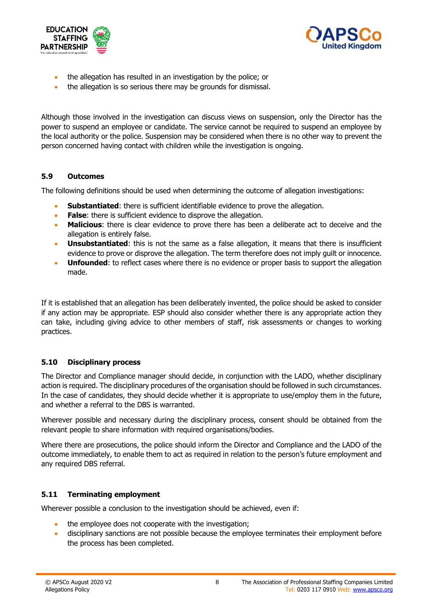



- the allegation has resulted in an investigation by the police; or
- the allegation is so serious there may be grounds for dismissal.

Although those involved in the investigation can discuss views on suspension, only the Director has the power to suspend an employee or candidate. The service cannot be required to suspend an employee by the local authority or the police. Suspension may be considered when there is no other way to prevent the person concerned having contact with children while the investigation is ongoing.

#### **5.9 Outcomes**

The following definitions should be used when determining the outcome of allegation investigations:

- **Substantiated:** there is sufficient identifiable evidence to prove the allegation.
- **False:** there is sufficient evidence to disprove the allegation.
- **Malicious**: there is clear evidence to prove there has been a deliberate act to deceive and the allegation is entirely false.
- **Unsubstantiated:** this is not the same as a false allegation, it means that there is insufficient evidence to prove or disprove the allegation. The term therefore does not imply guilt or innocence.
- **Unfounded**: to reflect cases where there is no evidence or proper basis to support the allegation made.

If it is established that an allegation has been deliberately invented, the police should be asked to consider if any action may be appropriate. ESP should also consider whether there is any appropriate action they can take, including giving advice to other members of staff, risk assessments or changes to working practices.

# **5.10 Disciplinary process**

The Director and Compliance manager should decide, in conjunction with the LADO, whether disciplinary action is required. The disciplinary procedures of the organisation should be followed in such circumstances. In the case of candidates, they should decide whether it is appropriate to use/employ them in the future, and whether a referral to the DBS is warranted.

Wherever possible and necessary during the disciplinary process, consent should be obtained from the relevant people to share information with required organisations/bodies.

Where there are prosecutions, the police should inform the Director and Compliance and the LADO of the outcome immediately, to enable them to act as required in relation to the person's future employment and any required DBS referral.

# **5.11 Terminating employment**

Wherever possible a conclusion to the investigation should be achieved, even if:

- the employee does not cooperate with the investigation;
- disciplinary sanctions are not possible because the employee terminates their employment before the process has been completed.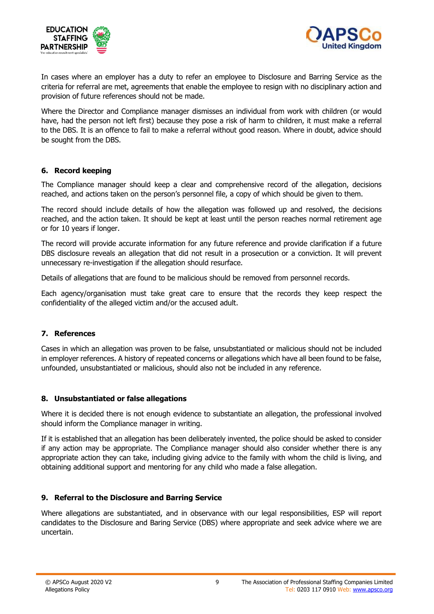



In cases where an employer has a duty to refer an employee to Disclosure and Barring Service as the criteria for referral are met, agreements that enable the employee to resign with no disciplinary action and provision of future references should not be made.

Where the Director and Compliance manager dismisses an individual from work with children (or would have, had the person not left first) because they pose a risk of harm to children, it must make a referral to the DBS. It is an offence to fail to make a referral without good reason. Where in doubt, advice should be sought from the DBS.

# **6. Record keeping**

The Compliance manager should keep a clear and comprehensive record of the allegation, decisions reached, and actions taken on the person's personnel file, a copy of which should be given to them.

The record should include details of how the allegation was followed up and resolved, the decisions reached, and the action taken. It should be kept at least until the person reaches normal retirement age or for 10 years if longer.

The record will provide accurate information for any future reference and provide clarification if a future DBS disclosure reveals an allegation that did not result in a prosecution or a conviction. It will prevent unnecessary re-investigation if the allegation should resurface.

Details of allegations that are found to be malicious should be removed from personnel records.

Each agency/organisation must take great care to ensure that the records they keep respect the confidentiality of the alleged victim and/or the accused adult.

#### **7. References**

Cases in which an allegation was proven to be false, unsubstantiated or malicious should not be included in employer references. A history of repeated concerns or allegations which have all been found to be false, unfounded, unsubstantiated or malicious, should also not be included in any reference.

#### **8. Unsubstantiated or false allegations**

Where it is decided there is not enough evidence to substantiate an allegation, the professional involved should inform the Compliance manager in writing.

If it is established that an allegation has been deliberately invented, the police should be asked to consider if any action may be appropriate. The Compliance manager should also consider whether there is any appropriate action they can take, including giving advice to the family with whom the child is living, and obtaining additional support and mentoring for any child who made a false allegation.

#### **9. Referral to the Disclosure and Barring Service**

Where allegations are substantiated, and in observance with our legal responsibilities, ESP will report candidates to the Disclosure and Baring Service (DBS) where appropriate and seek advice where we are uncertain.